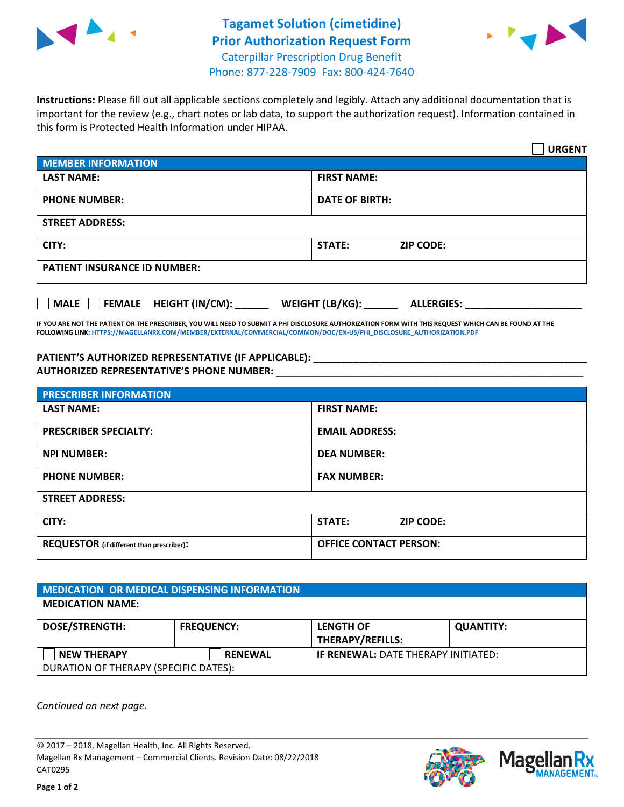



**Instructions:** Please fill out all applicable sections completely and legibly. Attach any additional documentation that is important for the review (e.g., chart notes or lab data, to support the authorization request). Information contained in this form is Protected Health Information under HIPAA.

|                                       | <b>URGENT</b>                        |  |  |  |
|---------------------------------------|--------------------------------------|--|--|--|
| <b>MEMBER INFORMATION</b>             |                                      |  |  |  |
| <b>LAST NAME:</b>                     | <b>FIRST NAME:</b>                   |  |  |  |
| <b>PHONE NUMBER:</b>                  | <b>DATE OF BIRTH:</b>                |  |  |  |
| <b>STREET ADDRESS:</b>                |                                      |  |  |  |
| CITY:                                 | STATE:<br><b>ZIP CODE:</b>           |  |  |  |
| <b>PATIENT INSURANCE ID NUMBER:</b>   |                                      |  |  |  |
| FEMALE HEIGHT (IN/CM):<br><b>MALE</b> | WEIGHT (LB/KG):<br><b>ALLERGIES:</b> |  |  |  |

**IF YOU ARE NOT THE PATIENT OR THE PRESCRIBER, YOU WILL NEED TO SUBMIT A PHI DISCLOSURE AUTHORIZATION FORM WITH THIS REQUEST WHICH CAN BE FOUND AT THE FOLLOWING LINK[: HTTPS://MAGELLANRX.COM/MEMBER/EXTERNAL/COMMERCIAL/COMMON/DOC/EN-US/PHI\\_DISCLOSURE\\_AUTHORIZATION.PDF](https://magellanrx.com/member/external/commercial/common/doc/en-us/PHI_Disclosure_Authorization.pdf)**

**PATIENT'S AUTHORIZED REPRESENTATIVE (IF APPLICABLE): \_\_\_\_\_\_\_\_\_\_\_\_\_\_\_\_\_\_\_\_\_\_\_\_\_\_\_\_\_\_\_\_\_\_\_\_\_\_\_\_\_\_\_\_\_\_\_\_\_ AUTHORIZED REPRESENTATIVE'S PHONE NUMBER:** \_\_\_\_\_\_\_\_\_\_\_\_\_\_\_\_\_\_\_\_\_\_\_\_\_\_\_\_\_\_\_\_\_\_\_\_\_\_\_\_\_\_\_\_\_\_\_\_\_\_\_\_\_\_\_

| <b>PRESCRIBER INFORMATION</b>             |                               |  |  |  |
|-------------------------------------------|-------------------------------|--|--|--|
| <b>LAST NAME:</b>                         | <b>FIRST NAME:</b>            |  |  |  |
| <b>PRESCRIBER SPECIALTY:</b>              | <b>EMAIL ADDRESS:</b>         |  |  |  |
| <b>NPI NUMBER:</b>                        | <b>DEA NUMBER:</b>            |  |  |  |
| <b>PHONE NUMBER:</b>                      | <b>FAX NUMBER:</b>            |  |  |  |
| <b>STREET ADDRESS:</b>                    |                               |  |  |  |
| CITY:                                     | STATE:<br><b>ZIP CODE:</b>    |  |  |  |
| REQUESTOR (if different than prescriber): | <b>OFFICE CONTACT PERSON:</b> |  |  |  |

| MEDICATION OR MEDICAL DISPENSING INFORMATION |                   |                                            |                  |  |  |
|----------------------------------------------|-------------------|--------------------------------------------|------------------|--|--|
| <b>MEDICATION NAME:</b>                      |                   |                                            |                  |  |  |
| <b>DOSE/STRENGTH:</b>                        | <b>FREQUENCY:</b> | <b>LENGTH OF</b>                           | <b>QUANTITY:</b> |  |  |
|                                              |                   | <b>THERAPY/REFILLS:</b>                    |                  |  |  |
| <b>NEW THERAPY</b>                           | <b>RENEWAL</b>    | <b>IF RENEWAL: DATE THERAPY INITIATED:</b> |                  |  |  |
| DURATION OF THERAPY (SPECIFIC DATES):        |                   |                                            |                  |  |  |

*Continued on next page.*

© 2017 – 2018, Magellan Health, Inc. All Rights Reserved. Magellan Rx Management – Commercial Clients. Revision Date: 08/22/2018 CAT0295